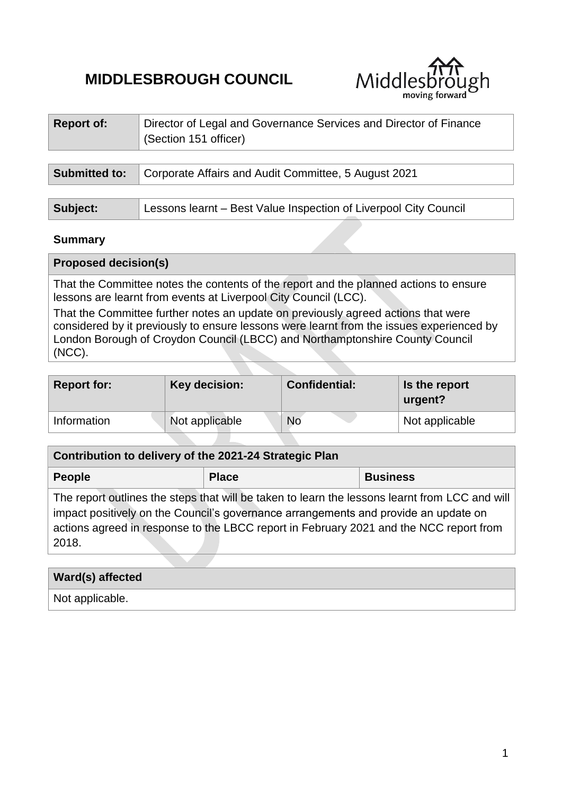# **MIDDLESBROUGH COUNCIL**



| <b>Report of:</b>    | Director of Legal and Governance Services and Director of Finance<br>(Section 151 officer) |  |
|----------------------|--------------------------------------------------------------------------------------------|--|
|                      |                                                                                            |  |
| <b>Submitted to:</b> | Corporate Affairs and Audit Committee, 5 August 2021                                       |  |
|                      |                                                                                            |  |
| Subject:             | Lessons learnt – Best Value Inspection of Liverpool City Council                           |  |
|                      |                                                                                            |  |

#### **Summary**

| <b>Proposed decision(s)</b>                                                           |
|---------------------------------------------------------------------------------------|
| That the Committee notes the contents of the report and the planned actions to ensure |
| lessons are learnt from events at Liverpool City Council (LCC).                       |

That the Committee further notes an update on previously agreed actions that were considered by it previously to ensure lessons were learnt from the issues experienced by London Borough of Croydon Council (LBCC) and Northamptonshire County Council (NCC).

| <b>Report for:</b> | Key decision:  | <b>Confidential:</b> | Is the report<br>urgent? |
|--------------------|----------------|----------------------|--------------------------|
| Information        | Not applicable | <b>No</b>            | Not applicable           |
|                    |                |                      |                          |

| Contribution to delivery of the 2021-24 Strategic Plan |              |                 |
|--------------------------------------------------------|--------------|-----------------|
| People                                                 | <b>Place</b> | <b>Business</b> |
|                                                        |              |                 |

The report outlines the steps that will be taken to learn the lessons learnt from LCC and will impact positively on the Council's governance arrangements and provide an update on actions agreed in response to the LBCC report in February 2021 and the NCC report from 2018.

| Ward(s) affected |  |
|------------------|--|
| Not applicable.  |  |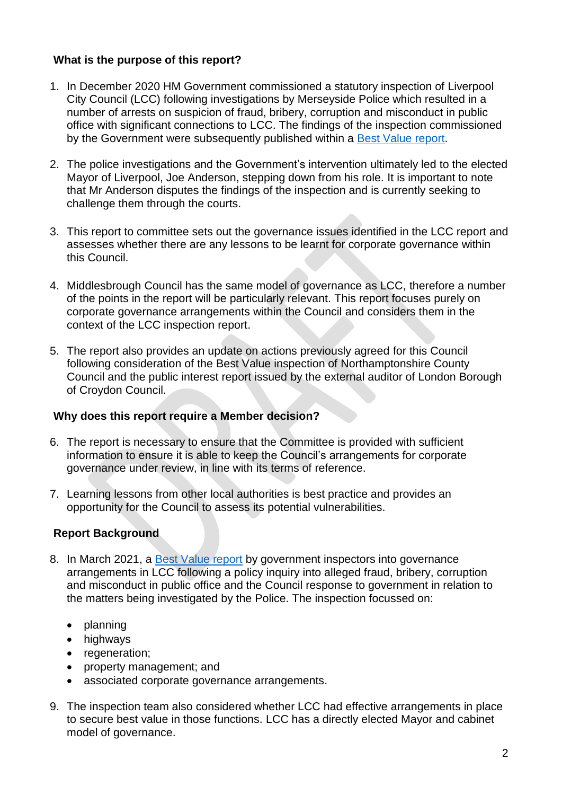#### **What is the purpose of this report?**

- 1. In December 2020 HM Government commissioned a statutory inspection of Liverpool City Council (LCC) following investigations by Merseyside Police which resulted in a number of arrests on suspicion of fraud, bribery, corruption and misconduct in public office with significant connections to LCC. The findings of the inspection commissioned by the Government were subsequently published within a [Best Value report.](https://assets.publishing.service.gov.uk/government/uploads/system/uploads/attachment_data/file/976197/Liverpool_Best_Value_inspection_report.pdf)
- 2. The police investigations and the Government's intervention ultimately led to the elected Mayor of Liverpool, Joe Anderson, stepping down from his role. It is important to note that Mr Anderson disputes the findings of the inspection and is currently seeking to challenge them through the courts.
- 3. This report to committee sets out the governance issues identified in the LCC report and assesses whether there are any lessons to be learnt for corporate governance within this Council.
- 4. Middlesbrough Council has the same model of governance as LCC, therefore a number of the points in the report will be particularly relevant. This report focuses purely on corporate governance arrangements within the Council and considers them in the context of the LCC inspection report.
- 5. The report also provides an update on actions previously agreed for this Council following consideration of the Best Value inspection of Northamptonshire County Council and the public interest report issued by the external auditor of London Borough of Croydon Council.

## **Why does this report require a Member decision?**

- 6. The report is necessary to ensure that the Committee is provided with sufficient information to ensure it is able to keep the Council's arrangements for corporate governance under review, in line with its terms of reference.
- 7. Learning lessons from other local authorities is best practice and provides an opportunity for the Council to assess its potential vulnerabilities.

#### **Report Background**

- 8. In March 2021, a [Best Value report](https://assets.publishing.service.gov.uk/government/uploads/system/uploads/attachment_data/file/976197/Liverpool_Best_Value_inspection_report.pdf) by government inspectors into governance arrangements in LCC following a policy inquiry into alleged fraud, bribery, corruption and misconduct in public office and the Council response to government in relation to the matters being investigated by the Police. The inspection focussed on:
	- planning
	- highways
	- regeneration;
	- property management; and
	- associated corporate governance arrangements.
- 9. The inspection team also considered whether LCC had effective arrangements in place to secure best value in those functions. LCC has a directly elected Mayor and cabinet model of governance.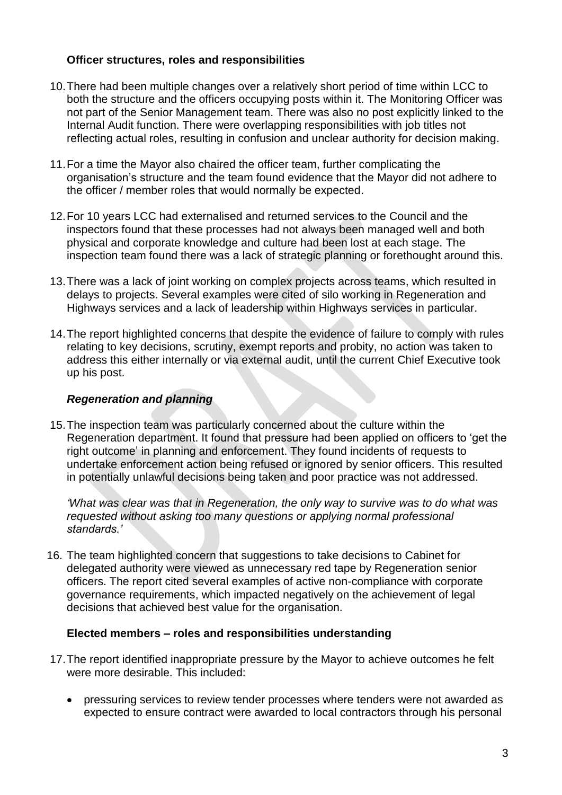#### **Officer structures, roles and responsibilities**

- 10.There had been multiple changes over a relatively short period of time within LCC to both the structure and the officers occupying posts within it. The Monitoring Officer was not part of the Senior Management team. There was also no post explicitly linked to the Internal Audit function. There were overlapping responsibilities with job titles not reflecting actual roles, resulting in confusion and unclear authority for decision making.
- 11.For a time the Mayor also chaired the officer team, further complicating the organisation's structure and the team found evidence that the Mayor did not adhere to the officer / member roles that would normally be expected.
- 12.For 10 years LCC had externalised and returned services to the Council and the inspectors found that these processes had not always been managed well and both physical and corporate knowledge and culture had been lost at each stage. The inspection team found there was a lack of strategic planning or forethought around this.
- 13.There was a lack of joint working on complex projects across teams, which resulted in delays to projects. Several examples were cited of silo working in Regeneration and Highways services and a lack of leadership within Highways services in particular.
- 14.The report highlighted concerns that despite the evidence of failure to comply with rules relating to key decisions, scrutiny, exempt reports and probity, no action was taken to address this either internally or via external audit, until the current Chief Executive took up his post.

#### *Regeneration and planning*

15.The inspection team was particularly concerned about the culture within the Regeneration department. It found that pressure had been applied on officers to 'get the right outcome' in planning and enforcement. They found incidents of requests to undertake enforcement action being refused or ignored by senior officers. This resulted in potentially unlawful decisions being taken and poor practice was not addressed.

*'What was clear was that in Regeneration, the only way to survive was to do what was requested without asking too many questions or applying normal professional standards.'*

16. The team highlighted concern that suggestions to take decisions to Cabinet for delegated authority were viewed as unnecessary red tape by Regeneration senior officers. The report cited several examples of active non-compliance with corporate governance requirements, which impacted negatively on the achievement of legal decisions that achieved best value for the organisation.

#### **Elected members – roles and responsibilities understanding**

- 17.The report identified inappropriate pressure by the Mayor to achieve outcomes he felt were more desirable. This included:
	- pressuring services to review tender processes where tenders were not awarded as expected to ensure contract were awarded to local contractors through his personal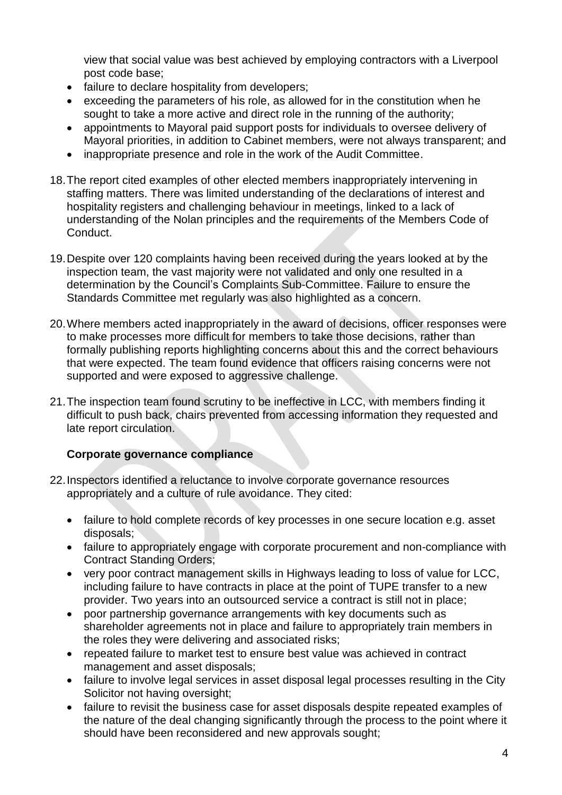view that social value was best achieved by employing contractors with a Liverpool post code base;

- failure to declare hospitality from developers;
- exceeding the parameters of his role, as allowed for in the constitution when he sought to take a more active and direct role in the running of the authority;
- appointments to Mayoral paid support posts for individuals to oversee delivery of Mayoral priorities, in addition to Cabinet members, were not always transparent; and
- inappropriate presence and role in the work of the Audit Committee.
- 18.The report cited examples of other elected members inappropriately intervening in staffing matters. There was limited understanding of the declarations of interest and hospitality registers and challenging behaviour in meetings, linked to a lack of understanding of the Nolan principles and the requirements of the Members Code of Conduct.
- 19.Despite over 120 complaints having been received during the years looked at by the inspection team, the vast majority were not validated and only one resulted in a determination by the Council's Complaints Sub-Committee. Failure to ensure the Standards Committee met regularly was also highlighted as a concern.
- 20.Where members acted inappropriately in the award of decisions, officer responses were to make processes more difficult for members to take those decisions, rather than formally publishing reports highlighting concerns about this and the correct behaviours that were expected. The team found evidence that officers raising concerns were not supported and were exposed to aggressive challenge.
- 21.The inspection team found scrutiny to be ineffective in LCC, with members finding it difficult to push back, chairs prevented from accessing information they requested and late report circulation.

#### **Corporate governance compliance**

- 22.Inspectors identified a reluctance to involve corporate governance resources appropriately and a culture of rule avoidance. They cited:
	- failure to hold complete records of key processes in one secure location e.g. asset disposals;
	- failure to appropriately engage with corporate procurement and non-compliance with Contract Standing Orders;
	- very poor contract management skills in Highways leading to loss of value for LCC, including failure to have contracts in place at the point of TUPE transfer to a new provider. Two years into an outsourced service a contract is still not in place;
	- poor partnership governance arrangements with key documents such as shareholder agreements not in place and failure to appropriately train members in the roles they were delivering and associated risks;
	- repeated failure to market test to ensure best value was achieved in contract management and asset disposals;
	- failure to involve legal services in asset disposal legal processes resulting in the City Solicitor not having oversight;
	- failure to revisit the business case for asset disposals despite repeated examples of the nature of the deal changing significantly through the process to the point where it should have been reconsidered and new approvals sought;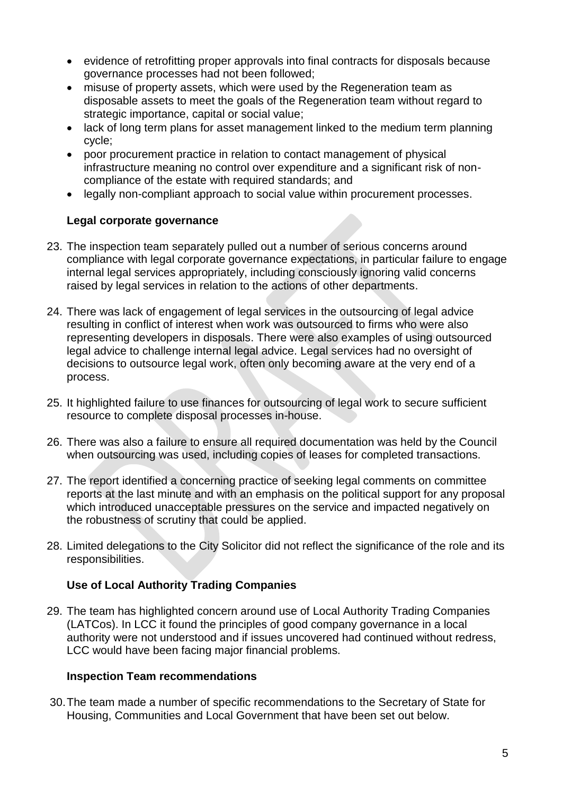- evidence of retrofitting proper approvals into final contracts for disposals because governance processes had not been followed;
- misuse of property assets, which were used by the Regeneration team as disposable assets to meet the goals of the Regeneration team without regard to strategic importance, capital or social value;
- lack of long term plans for asset management linked to the medium term planning cycle;
- poor procurement practice in relation to contact management of physical infrastructure meaning no control over expenditure and a significant risk of noncompliance of the estate with required standards; and
- legally non-compliant approach to social value within procurement processes.

#### **Legal corporate governance**

- 23. The inspection team separately pulled out a number of serious concerns around compliance with legal corporate governance expectations, in particular failure to engage internal legal services appropriately, including consciously ignoring valid concerns raised by legal services in relation to the actions of other departments.
- 24. There was lack of engagement of legal services in the outsourcing of legal advice resulting in conflict of interest when work was outsourced to firms who were also representing developers in disposals. There were also examples of using outsourced legal advice to challenge internal legal advice. Legal services had no oversight of decisions to outsource legal work, often only becoming aware at the very end of a process.
- 25. It highlighted failure to use finances for outsourcing of legal work to secure sufficient resource to complete disposal processes in-house.
- 26. There was also a failure to ensure all required documentation was held by the Council when outsourcing was used, including copies of leases for completed transactions.
- 27. The report identified a concerning practice of seeking legal comments on committee reports at the last minute and with an emphasis on the political support for any proposal which introduced unacceptable pressures on the service and impacted negatively on the robustness of scrutiny that could be applied.
- 28. Limited delegations to the City Solicitor did not reflect the significance of the role and its responsibilities.

#### **Use of Local Authority Trading Companies**

29. The team has highlighted concern around use of Local Authority Trading Companies (LATCos). In LCC it found the principles of good company governance in a local authority were not understood and if issues uncovered had continued without redress, LCC would have been facing major financial problems.

#### **Inspection Team recommendations**

30.The team made a number of specific recommendations to the Secretary of State for Housing, Communities and Local Government that have been set out below.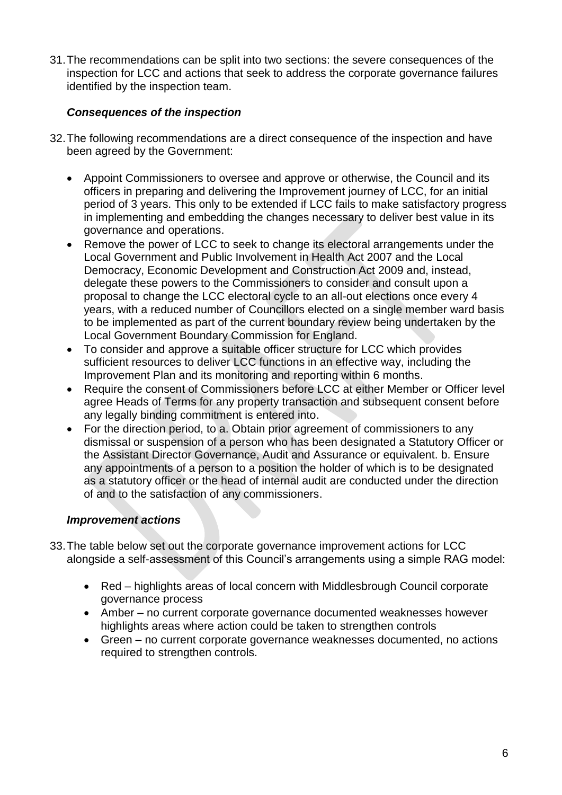31.The recommendations can be split into two sections: the severe consequences of the inspection for LCC and actions that seek to address the corporate governance failures identified by the inspection team.

#### *Consequences of the inspection*

- 32.The following recommendations are a direct consequence of the inspection and have been agreed by the Government:
	- Appoint Commissioners to oversee and approve or otherwise, the Council and its officers in preparing and delivering the Improvement journey of LCC, for an initial period of 3 years. This only to be extended if LCC fails to make satisfactory progress in implementing and embedding the changes necessary to deliver best value in its governance and operations.
	- Remove the power of LCC to seek to change its electoral arrangements under the Local Government and Public Involvement in Health Act 2007 and the Local Democracy, Economic Development and Construction Act 2009 and, instead, delegate these powers to the Commissioners to consider and consult upon a proposal to change the LCC electoral cycle to an all-out elections once every 4 years, with a reduced number of Councillors elected on a single member ward basis to be implemented as part of the current boundary review being undertaken by the Local Government Boundary Commission for England.
	- To consider and approve a suitable officer structure for LCC which provides sufficient resources to deliver LCC functions in an effective way, including the Improvement Plan and its monitoring and reporting within 6 months.
	- Require the consent of Commissioners before LCC at either Member or Officer level agree Heads of Terms for any property transaction and subsequent consent before any legally binding commitment is entered into.
	- For the direction period, to a. Obtain prior agreement of commissioners to any dismissal or suspension of a person who has been designated a Statutory Officer or the Assistant Director Governance, Audit and Assurance or equivalent. b. Ensure any appointments of a person to a position the holder of which is to be designated as a statutory officer or the head of internal audit are conducted under the direction of and to the satisfaction of any commissioners.

# *Improvement actions*

- 33.The table below set out the corporate governance improvement actions for LCC alongside a self-assessment of this Council's arrangements using a simple RAG model:
	- Red highlights areas of local concern with Middlesbrough Council corporate governance process
	- Amber no current corporate governance documented weaknesses however highlights areas where action could be taken to strengthen controls
	- Green no current corporate governance weaknesses documented, no actions required to strengthen controls.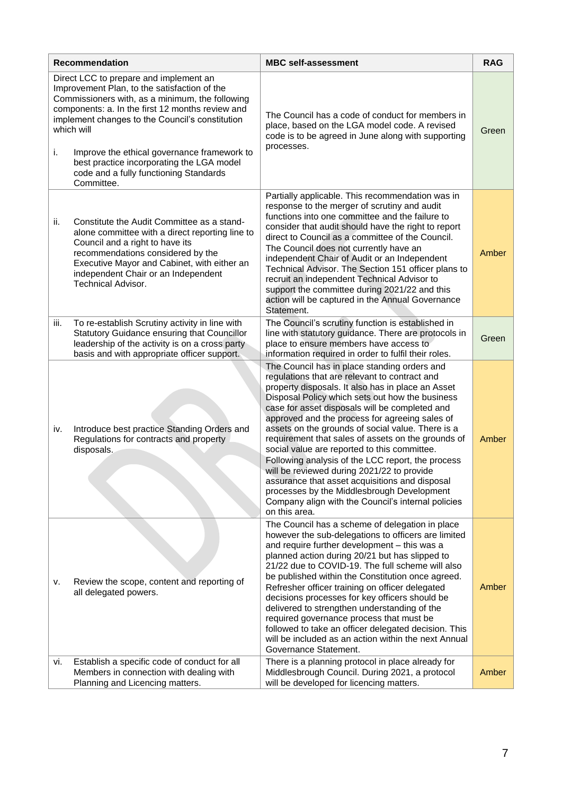| <b>Recommendation</b>                                                                                                                                                                                                                                                                                                                                            |                                                                                                                                                                                                                                                                                          | <b>MBC self-assessment</b>                                                                                                                                                                                                                                                                                                                                                                                                                                                                                                                                                                                                                                                                                                                     | <b>RAG</b> |
|------------------------------------------------------------------------------------------------------------------------------------------------------------------------------------------------------------------------------------------------------------------------------------------------------------------------------------------------------------------|------------------------------------------------------------------------------------------------------------------------------------------------------------------------------------------------------------------------------------------------------------------------------------------|------------------------------------------------------------------------------------------------------------------------------------------------------------------------------------------------------------------------------------------------------------------------------------------------------------------------------------------------------------------------------------------------------------------------------------------------------------------------------------------------------------------------------------------------------------------------------------------------------------------------------------------------------------------------------------------------------------------------------------------------|------------|
| Direct LCC to prepare and implement an<br>Improvement Plan, to the satisfaction of the<br>Commissioners with, as a minimum, the following<br>components: a. In the first 12 months review and<br>implement changes to the Council's constitution<br>which will<br>i.<br>Improve the ethical governance framework to<br>best practice incorporating the LGA model |                                                                                                                                                                                                                                                                                          | The Council has a code of conduct for members in<br>place, based on the LGA model code. A revised<br>code is to be agreed in June along with supporting<br>processes.                                                                                                                                                                                                                                                                                                                                                                                                                                                                                                                                                                          | Green      |
|                                                                                                                                                                                                                                                                                                                                                                  | code and a fully functioning Standards<br>Committee.                                                                                                                                                                                                                                     |                                                                                                                                                                                                                                                                                                                                                                                                                                                                                                                                                                                                                                                                                                                                                |            |
| ii.                                                                                                                                                                                                                                                                                                                                                              | Constitute the Audit Committee as a stand-<br>alone committee with a direct reporting line to<br>Council and a right to have its<br>recommendations considered by the<br>Executive Mayor and Cabinet, with either an<br>independent Chair or an Independent<br><b>Technical Advisor.</b> | Partially applicable. This recommendation was in<br>response to the merger of scrutiny and audit<br>functions into one committee and the failure to<br>consider that audit should have the right to report<br>direct to Council as a committee of the Council.<br>The Council does not currently have an<br>independent Chair of Audit or an Independent<br>Technical Advisor. The Section 151 officer plans to<br>recruit an independent Technical Advisor to<br>support the committee during 2021/22 and this<br>action will be captured in the Annual Governance<br>Statement.                                                                                                                                                              | Amber      |
| iii.                                                                                                                                                                                                                                                                                                                                                             | To re-establish Scrutiny activity in line with<br>Statutory Guidance ensuring that Councillor<br>leadership of the activity is on a cross party<br>basis and with appropriate officer support.                                                                                           | The Council's scrutiny function is established in<br>line with statutory guidance. There are protocols in<br>place to ensure members have access to<br>information required in order to fulfil their roles.                                                                                                                                                                                                                                                                                                                                                                                                                                                                                                                                    | Green      |
| iv.                                                                                                                                                                                                                                                                                                                                                              | Introduce best practice Standing Orders and<br>Regulations for contracts and property<br>disposals.                                                                                                                                                                                      | The Council has in place standing orders and<br>regulations that are relevant to contract and<br>property disposals. It also has in place an Asset<br>Disposal Policy which sets out how the business<br>case for asset disposals will be completed and<br>approved and the process for agreeing sales of<br>assets on the grounds of social value. There is a<br>requirement that sales of assets on the grounds of<br>social value are reported to this committee.<br>Following analysis of the LCC report, the process<br>will be reviewed during 2021/22 to provide<br>assurance that asset acquisitions and disposal<br>processes by the Middlesbrough Development<br>Company align with the Council's internal policies<br>on this area. | Amber      |
| v.                                                                                                                                                                                                                                                                                                                                                               | Review the scope, content and reporting of<br>all delegated powers.                                                                                                                                                                                                                      | The Council has a scheme of delegation in place<br>however the sub-delegations to officers are limited<br>and require further development - this was a<br>planned action during 20/21 but has slipped to<br>21/22 due to COVID-19. The full scheme will also<br>be published within the Constitution once agreed.<br>Refresher officer training on officer delegated<br>decisions processes for key officers should be<br>delivered to strengthen understanding of the<br>required governance process that must be<br>followed to take an officer delegated decision. This<br>will be included as an action within the next Annual<br>Governance Statement.                                                                                    | Amber      |
| vi.                                                                                                                                                                                                                                                                                                                                                              | Establish a specific code of conduct for all<br>Members in connection with dealing with<br>Planning and Licencing matters.                                                                                                                                                               | There is a planning protocol in place already for<br>Middlesbrough Council. During 2021, a protocol<br>will be developed for licencing matters.                                                                                                                                                                                                                                                                                                                                                                                                                                                                                                                                                                                                | Amber      |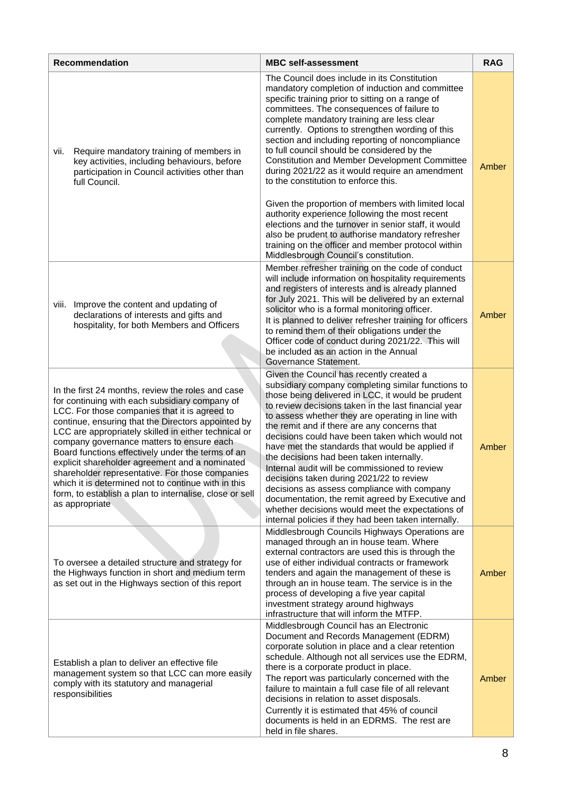| <b>Recommendation</b>                                                                                                                                                                                                                                                                                                                                                                                                                                                                                                                                                                                         | <b>MBC self-assessment</b>                                                                                                                                                                                                                                                                                                                                                                                                                                                                                                                                                                                                                                                                                                                                                                                                                                                   | <b>RAG</b> |
|---------------------------------------------------------------------------------------------------------------------------------------------------------------------------------------------------------------------------------------------------------------------------------------------------------------------------------------------------------------------------------------------------------------------------------------------------------------------------------------------------------------------------------------------------------------------------------------------------------------|------------------------------------------------------------------------------------------------------------------------------------------------------------------------------------------------------------------------------------------------------------------------------------------------------------------------------------------------------------------------------------------------------------------------------------------------------------------------------------------------------------------------------------------------------------------------------------------------------------------------------------------------------------------------------------------------------------------------------------------------------------------------------------------------------------------------------------------------------------------------------|------------|
| Require mandatory training of members in<br>vii.<br>key activities, including behaviours, before<br>participation in Council activities other than<br>full Council.                                                                                                                                                                                                                                                                                                                                                                                                                                           | The Council does include in its Constitution<br>mandatory completion of induction and committee<br>specific training prior to sitting on a range of<br>committees. The consequences of failure to<br>complete mandatory training are less clear<br>currently. Options to strengthen wording of this<br>section and including reporting of noncompliance<br>to full council should be considered by the<br><b>Constitution and Member Development Committee</b><br>during 2021/22 as it would require an amendment<br>to the constitution to enforce this.<br>Given the proportion of members with limited local<br>authority experience following the most recent<br>elections and the turnover in senior staff, it would<br>also be prudent to authorise mandatory refresher<br>training on the officer and member protocol within<br>Middlesbrough Council's constitution. | Amber      |
| Improve the content and updating of<br>viii.<br>declarations of interests and gifts and<br>hospitality, for both Members and Officers                                                                                                                                                                                                                                                                                                                                                                                                                                                                         | Member refresher training on the code of conduct<br>will include information on hospitality requirements<br>and registers of interests and is already planned<br>for July 2021. This will be delivered by an external<br>solicitor who is a formal monitoring officer.<br>It is planned to deliver refresher training for officers<br>to remind them of their obligations under the<br>Officer code of conduct during 2021/22. This will<br>be included as an action in the Annual<br>Governance Statement.                                                                                                                                                                                                                                                                                                                                                                  | Amber      |
| In the first 24 months, review the roles and case<br>for continuing with each subsidiary company of<br>LCC. For those companies that it is agreed to<br>continue, ensuring that the Directors appointed by<br>LCC are appropriately skilled in either technical or<br>company governance matters to ensure each<br>Board functions effectively under the terms of an<br>explicit shareholder agreement and a nominated<br>shareholder representative. For those companies<br>which it is determined not to continue with in this<br>form, to establish a plan to internalise, close or sell<br>as appropriate | Given the Council has recently created a<br>subsidiary company completing similar functions to<br>those being delivered in LCC, it would be prudent<br>to review decisions taken in the last financial year<br>to assess whether they are operating in line with<br>the remit and if there are any concerns that<br>decisions could have been taken which would not<br>have met the standards that would be applied if<br>the decisions had been taken internally.<br>Internal audit will be commissioned to review<br>decisions taken during 2021/22 to review<br>decisions as assess compliance with company<br>documentation, the remit agreed by Executive and<br>whether decisions would meet the expectations of<br>internal policies if they had been taken internally.                                                                                               | Amber      |
| To oversee a detailed structure and strategy for<br>the Highways function in short and medium term<br>as set out in the Highways section of this report                                                                                                                                                                                                                                                                                                                                                                                                                                                       | Middlesbrough Councils Highways Operations are<br>managed through an in house team. Where<br>external contractors are used this is through the<br>use of either individual contracts or framework<br>tenders and again the management of these is<br>through an in house team. The service is in the<br>process of developing a five year capital<br>investment strategy around highways<br>infrastructure that will inform the MTFP.                                                                                                                                                                                                                                                                                                                                                                                                                                        | Amber      |
| Establish a plan to deliver an effective file<br>management system so that LCC can more easily<br>comply with its statutory and managerial<br>responsibilities                                                                                                                                                                                                                                                                                                                                                                                                                                                | Middlesbrough Council has an Electronic<br>Document and Records Management (EDRM)<br>corporate solution in place and a clear retention<br>schedule. Although not all services use the EDRM,<br>there is a corporate product in place.<br>The report was particularly concerned with the<br>failure to maintain a full case file of all relevant<br>decisions in relation to asset disposals.<br>Currently it is estimated that 45% of council<br>documents is held in an EDRMS. The rest are<br>held in file shares.                                                                                                                                                                                                                                                                                                                                                         | Amber      |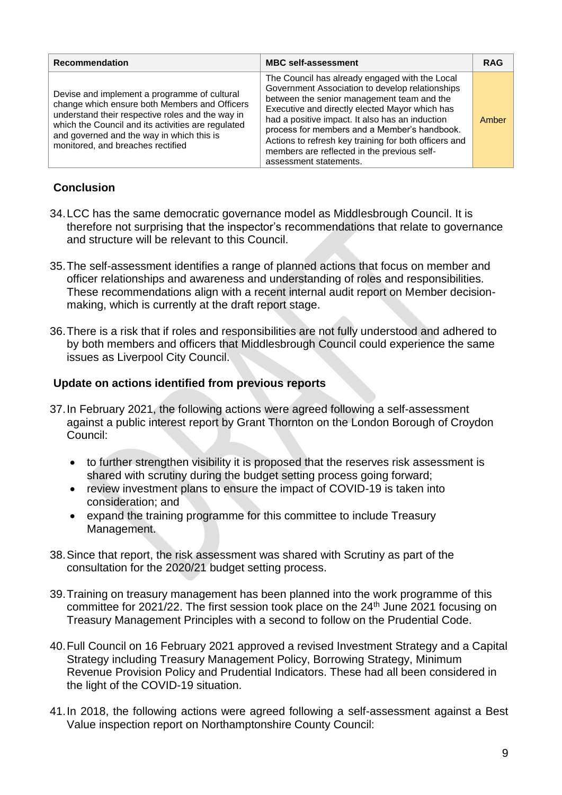| <b>Recommendation</b>                                                                                                                                                                                                                                                                     | <b>MBC</b> self-assessment                                                                                                                                                                                                                                                                                                                                                                                                             | <b>RAG</b> |
|-------------------------------------------------------------------------------------------------------------------------------------------------------------------------------------------------------------------------------------------------------------------------------------------|----------------------------------------------------------------------------------------------------------------------------------------------------------------------------------------------------------------------------------------------------------------------------------------------------------------------------------------------------------------------------------------------------------------------------------------|------------|
| Devise and implement a programme of cultural<br>change which ensure both Members and Officers<br>understand their respective roles and the way in<br>which the Council and its activities are regulated<br>and governed and the way in which this is<br>monitored, and breaches rectified | The Council has already engaged with the Local<br>Government Association to develop relationships<br>between the senior management team and the<br>Executive and directly elected Mayor which has<br>had a positive impact. It also has an induction<br>process for members and a Member's handbook.<br>Actions to refresh key training for both officers and<br>members are reflected in the previous self-<br>assessment statements. | Amber      |

## **Conclusion**

- 34.LCC has the same democratic governance model as Middlesbrough Council. It is therefore not surprising that the inspector's recommendations that relate to governance and structure will be relevant to this Council.
- 35.The self-assessment identifies a range of planned actions that focus on member and officer relationships and awareness and understanding of roles and responsibilities. These recommendations align with a recent internal audit report on Member decisionmaking, which is currently at the draft report stage.
- 36.There is a risk that if roles and responsibilities are not fully understood and adhered to by both members and officers that Middlesbrough Council could experience the same issues as Liverpool City Council.

#### **Update on actions identified from previous reports**

- 37.In February 2021, the following actions were agreed following a self-assessment against a public interest report by Grant Thornton on the London Borough of Croydon Council:
	- to further strengthen visibility it is proposed that the reserves risk assessment is shared with scrutiny during the budget setting process going forward;
	- review investment plans to ensure the impact of COVID-19 is taken into consideration; and
	- expand the training programme for this committee to include Treasury Management.
- 38.Since that report, the risk assessment was shared with Scrutiny as part of the consultation for the 2020/21 budget setting process.
- 39.Training on treasury management has been planned into the work programme of this committee for 2021/22. The first session took place on the 24<sup>th</sup> June 2021 focusing on Treasury Management Principles with a second to follow on the Prudential Code.
- 40.Full Council on 16 February 2021 approved a revised Investment Strategy and a Capital Strategy including Treasury Management Policy, Borrowing Strategy, Minimum Revenue Provision Policy and Prudential Indicators. These had all been considered in the light of the COVID-19 situation.
- 41.In 2018, the following actions were agreed following a self-assessment against a Best Value inspection report on Northamptonshire County Council: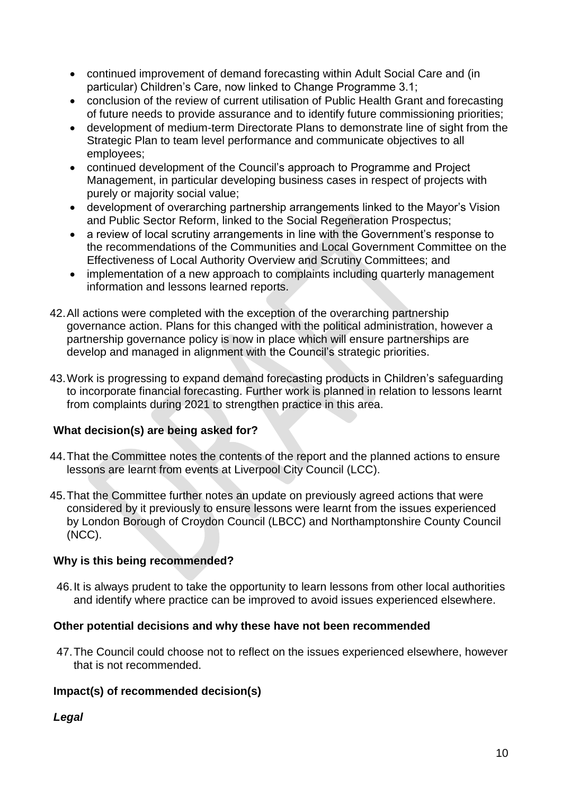- continued improvement of demand forecasting within Adult Social Care and (in particular) Children's Care, now linked to Change Programme 3.1;
- conclusion of the review of current utilisation of Public Health Grant and forecasting of future needs to provide assurance and to identify future commissioning priorities;
- development of medium-term Directorate Plans to demonstrate line of sight from the Strategic Plan to team level performance and communicate objectives to all employees;
- continued development of the Council's approach to Programme and Project Management, in particular developing business cases in respect of projects with purely or majority social value;
- development of overarching partnership arrangements linked to the Mayor's Vision and Public Sector Reform, linked to the Social Regeneration Prospectus;
- a review of local scrutiny arrangements in line with the Government's response to the recommendations of the Communities and Local Government Committee on the Effectiveness of Local Authority Overview and Scrutiny Committees; and
- implementation of a new approach to complaints including quarterly management information and lessons learned reports.
- 42.All actions were completed with the exception of the overarching partnership governance action. Plans for this changed with the political administration, however a partnership governance policy is now in place which will ensure partnerships are develop and managed in alignment with the Council's strategic priorities.
- 43.Work is progressing to expand demand forecasting products in Children's safeguarding to incorporate financial forecasting. Further work is planned in relation to lessons learnt from complaints during 2021 to strengthen practice in this area.

# **What decision(s) are being asked for?**

- 44.That the Committee notes the contents of the report and the planned actions to ensure lessons are learnt from events at Liverpool City Council (LCC).
- 45.That the Committee further notes an update on previously agreed actions that were considered by it previously to ensure lessons were learnt from the issues experienced by London Borough of Croydon Council (LBCC) and Northamptonshire County Council (NCC).

#### **Why is this being recommended?**

46.It is always prudent to take the opportunity to learn lessons from other local authorities and identify where practice can be improved to avoid issues experienced elsewhere.

#### **Other potential decisions and why these have not been recommended**

47.The Council could choose not to reflect on the issues experienced elsewhere, however that is not recommended.

# **Impact(s) of recommended decision(s)**

#### *Legal*